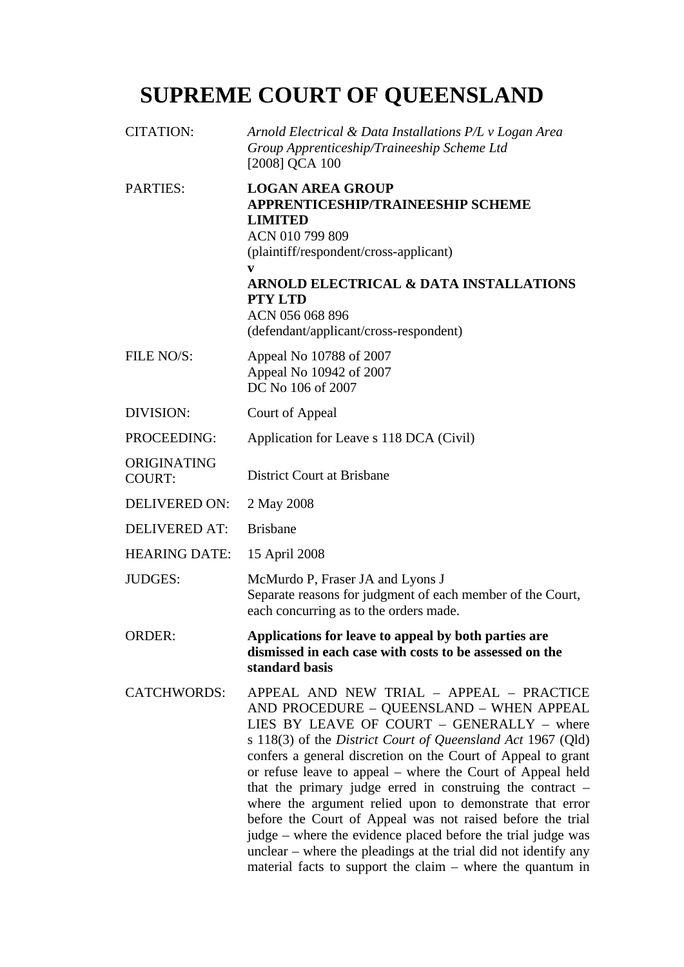## **SUPREME COURT OF QUEENSLAND**

| <b>CITATION:</b>             | Arnold Electrical & Data Installations P/L v Logan Area<br>Group Apprenticeship/Traineeship Scheme Ltd<br>[2008] QCA 100                                                                                                                                                                                                                                                                                                                                                                                                                                                                                                                                                                                                    |
|------------------------------|-----------------------------------------------------------------------------------------------------------------------------------------------------------------------------------------------------------------------------------------------------------------------------------------------------------------------------------------------------------------------------------------------------------------------------------------------------------------------------------------------------------------------------------------------------------------------------------------------------------------------------------------------------------------------------------------------------------------------------|
| <b>PARTIES:</b>              | <b>LOGAN AREA GROUP</b><br><b>APPRENTICESHIP/TRAINEESHIP SCHEME</b><br><b>LIMITED</b><br>ACN 010 799 809<br>(plaintiff/respondent/cross-applicant)<br><b>ARNOLD ELECTRICAL &amp; DATA INSTALLATIONS</b><br><b>PTY LTD</b><br>ACN 056 068 896<br>(defendant/applicant/cross-respondent)                                                                                                                                                                                                                                                                                                                                                                                                                                      |
| FILE NO/S:                   | Appeal No 10788 of 2007<br>Appeal No 10942 of 2007<br>DC No 106 of 2007                                                                                                                                                                                                                                                                                                                                                                                                                                                                                                                                                                                                                                                     |
| DIVISION:                    | Court of Appeal                                                                                                                                                                                                                                                                                                                                                                                                                                                                                                                                                                                                                                                                                                             |
| PROCEEDING:                  | Application for Leave s 118 DCA (Civil)                                                                                                                                                                                                                                                                                                                                                                                                                                                                                                                                                                                                                                                                                     |
| ORIGINATING<br><b>COURT:</b> | <b>District Court at Brisbane</b>                                                                                                                                                                                                                                                                                                                                                                                                                                                                                                                                                                                                                                                                                           |
| <b>DELIVERED ON:</b>         | 2 May 2008                                                                                                                                                                                                                                                                                                                                                                                                                                                                                                                                                                                                                                                                                                                  |
| <b>DELIVERED AT:</b>         | <b>Brisbane</b>                                                                                                                                                                                                                                                                                                                                                                                                                                                                                                                                                                                                                                                                                                             |
| <b>HEARING DATE:</b>         | 15 April 2008                                                                                                                                                                                                                                                                                                                                                                                                                                                                                                                                                                                                                                                                                                               |
| <b>JUDGES:</b>               | McMurdo P, Fraser JA and Lyons J<br>Separate reasons for judgment of each member of the Court,<br>each concurring as to the orders made.                                                                                                                                                                                                                                                                                                                                                                                                                                                                                                                                                                                    |
| <b>ORDER:</b>                | Applications for leave to appeal by both parties are<br>dismissed in each case with costs to be assessed on the<br>standard basis                                                                                                                                                                                                                                                                                                                                                                                                                                                                                                                                                                                           |
| <b>CATCHWORDS:</b>           | APPEAL AND NEW TRIAL - APPEAL - PRACTICE<br>AND PROCEDURE - QUEENSLAND - WHEN APPEAL<br>LIES BY LEAVE OF COURT - GENERALLY - where<br>s 118(3) of the District Court of Queensland Act 1967 (Qld)<br>confers a general discretion on the Court of Appeal to grant<br>or refuse leave to appeal - where the Court of Appeal held<br>that the primary judge erred in construing the contract $-$<br>where the argument relied upon to demonstrate that error<br>before the Court of Appeal was not raised before the trial<br>judge – where the evidence placed before the trial judge was<br>unclear – where the pleadings at the trial did not identify any<br>material facts to support the claim $-$ where the quantum in |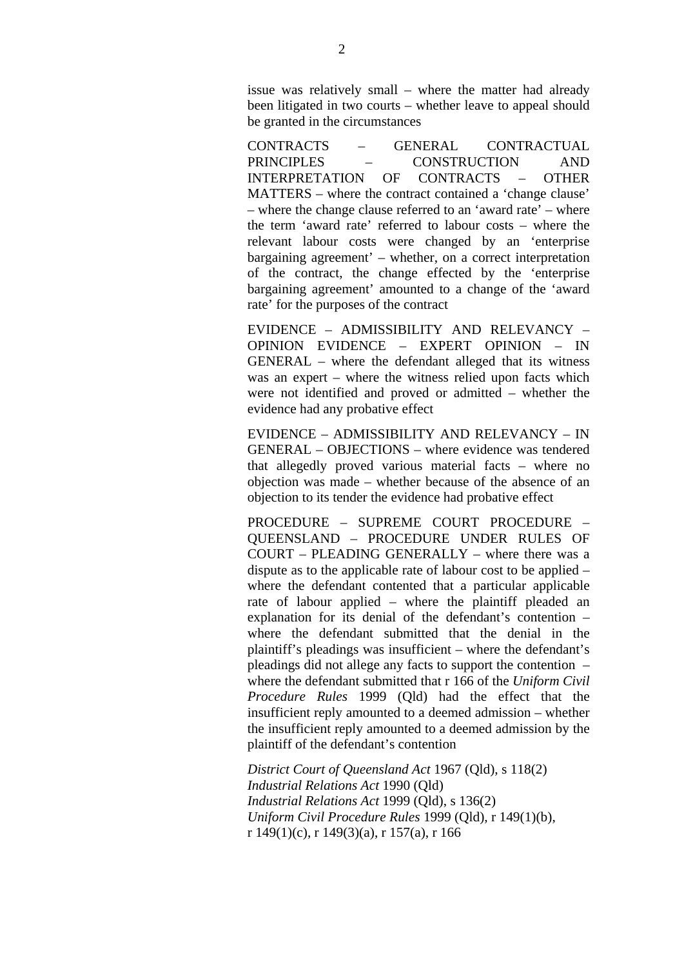issue was relatively small – where the matter had already been litigated in two courts – whether leave to appeal should be granted in the circumstances

CONTRACTS – GENERAL CONTRACTUAL PRINCIPLES – CONSTRUCTION AND INTERPRETATION OF CONTRACTS – OTHER MATTERS – where the contract contained a 'change clause' – where the change clause referred to an 'award rate' – where the term 'award rate' referred to labour costs – where the relevant labour costs were changed by an 'enterprise bargaining agreement' – whether, on a correct interpretation of the contract, the change effected by the 'enterprise bargaining agreement' amounted to a change of the 'award rate' for the purposes of the contract

EVIDENCE – ADMISSIBILITY AND RELEVANCY – OPINION EVIDENCE – EXPERT OPINION – IN GENERAL – where the defendant alleged that its witness was an expert – where the witness relied upon facts which were not identified and proved or admitted – whether the evidence had any probative effect

EVIDENCE – ADMISSIBILITY AND RELEVANCY – IN GENERAL – OBJECTIONS – where evidence was tendered that allegedly proved various material facts – where no objection was made – whether because of the absence of an objection to its tender the evidence had probative effect

PROCEDURE – SUPREME COURT PROCEDURE – QUEENSLAND – PROCEDURE UNDER RULES OF COURT – PLEADING GENERALLY – where there was a dispute as to the applicable rate of labour cost to be applied – where the defendant contented that a particular applicable rate of labour applied – where the plaintiff pleaded an explanation for its denial of the defendant's contention – where the defendant submitted that the denial in the plaintiff's pleadings was insufficient – where the defendant's pleadings did not allege any facts to support the contention – where the defendant submitted that r 166 of the *Uniform Civil Procedure Rules* 1999 (Qld) had the effect that the insufficient reply amounted to a deemed admission – whether the insufficient reply amounted to a deemed admission by the plaintiff of the defendant's contention

*District Court of Queensland Act* 1967 (Qld), s 118(2) *Industrial Relations Act* 1990 (Qld) *Industrial Relations Act* 1999 (Qld), s 136(2) *Uniform Civil Procedure Rules* 1999 (Qld), r 149(1)(b), r 149(1)(c), r 149(3)(a), r 157(a), r 166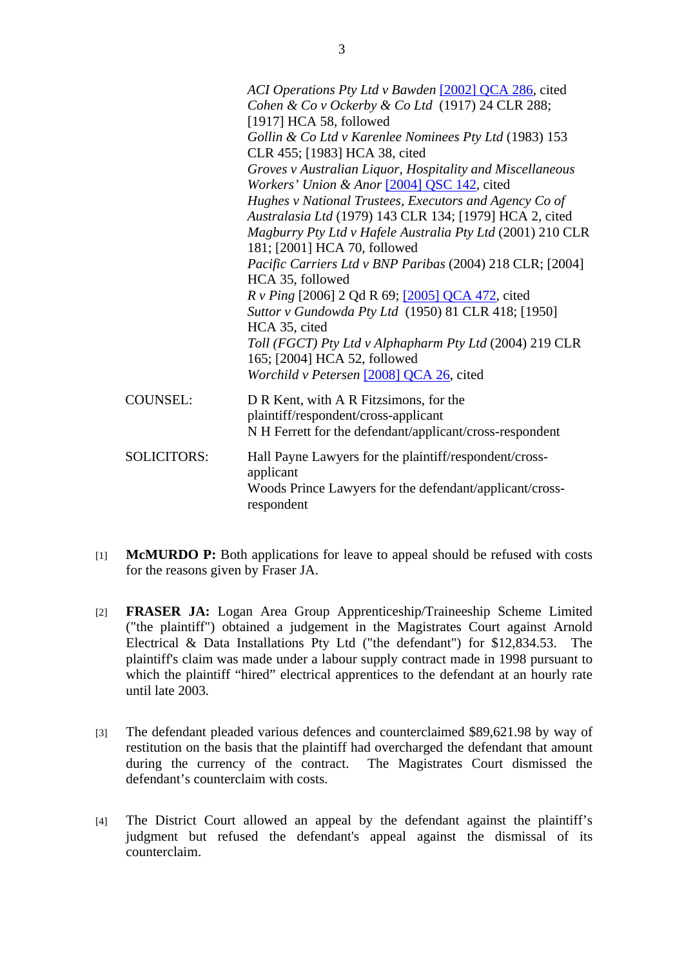|                    | ACI Operations Pty Ltd v Bawden [2002] QCA 286, cited<br>Cohen & Co v Ockerby & Co Ltd (1917) 24 CLR 288;<br>$[1917]$ HCA 58, followed     |
|--------------------|--------------------------------------------------------------------------------------------------------------------------------------------|
|                    | Gollin & Co Ltd v Karenlee Nominees Pty Ltd (1983) 153<br>CLR 455; [1983] HCA 38, cited                                                    |
|                    | Groves v Australian Liquor, Hospitality and Miscellaneous<br>Workers' Union & Anor [2004] QSC 142, cited                                   |
|                    | Hughes v National Trustees, Executors and Agency Co of<br>Australasia Ltd (1979) 143 CLR 134; [1979] HCA 2, cited                          |
|                    | Magburry Pty Ltd v Hafele Australia Pty Ltd (2001) 210 CLR<br>181; [2001] HCA 70, followed                                                 |
|                    | Pacific Carriers Ltd v BNP Paribas (2004) 218 CLR; [2004]<br>HCA 35, followed                                                              |
|                    | <i>R v Ping</i> [2006] 2 Qd R 69; [2005] QCA 472, cited<br>Suttor v Gundowda Pty Ltd (1950) 81 CLR 418; [1950]<br>HCA 35, cited            |
|                    | Toll (FGCT) Pty Ltd v Alphapharm Pty Ltd (2004) 219 CLR<br>165; [2004] HCA 52, followed                                                    |
|                    | Worchild v Petersen [2008] QCA 26, cited                                                                                                   |
| <b>COUNSEL:</b>    | D R Kent, with A R Fitzsimons, for the<br>plaintiff/respondent/cross-applicant<br>N H Ferrett for the defendant/applicant/cross-respondent |
| <b>SOLICITORS:</b> | Hall Payne Lawyers for the plaintiff/respondent/cross-<br>applicant<br>Woods Prince Lawyers for the defendant/applicant/cross-             |
|                    | respondent                                                                                                                                 |

- [1] **McMURDO P:** Both applications for leave to appeal should be refused with costs for the reasons given by Fraser JA.
- [2] **FRASER JA:** Logan Area Group Apprenticeship/Traineeship Scheme Limited ("the plaintiff") obtained a judgement in the Magistrates Court against Arnold Electrical & Data Installations Pty Ltd ("the defendant") for \$12,834.53. The plaintiff's claim was made under a labour supply contract made in 1998 pursuant to which the plaintiff "hired" electrical apprentices to the defendant at an hourly rate until late 2003.
- [3] The defendant pleaded various defences and counterclaimed \$89,621.98 by way of restitution on the basis that the plaintiff had overcharged the defendant that amount during the currency of the contract. The Magistrates Court dismissed the defendant's counterclaim with costs.
- [4] The District Court allowed an appeal by the defendant against the plaintiff's judgment but refused the defendant's appeal against the dismissal of its counterclaim.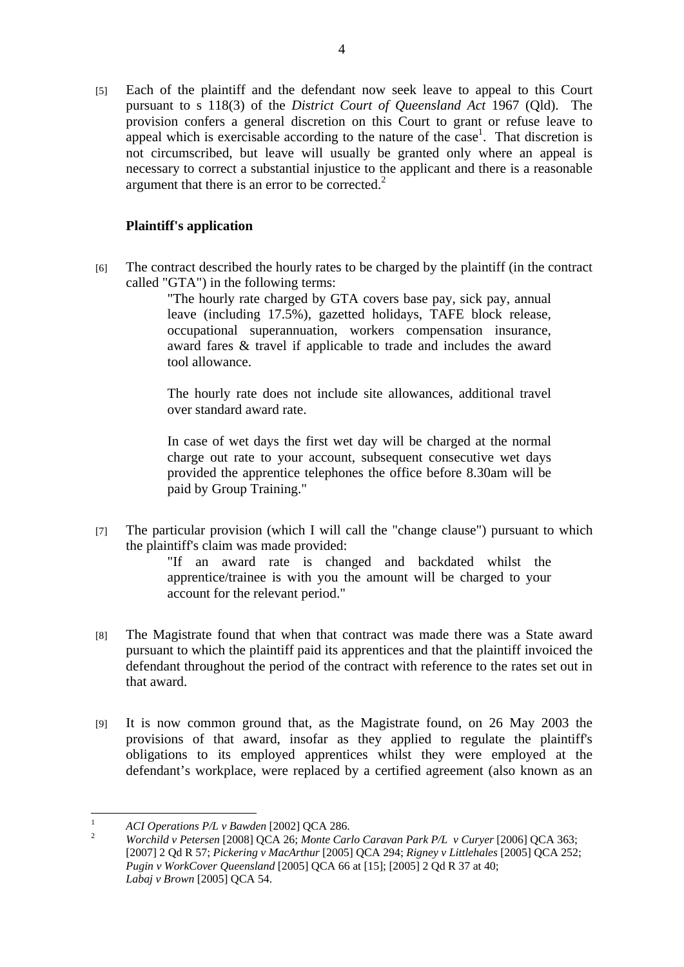[5] Each of the plaintiff and the defendant now seek leave to appeal to this Court pursuant to s 118(3) of the *District Court of Queensland Act* 1967 (Qld). The provision confers a general discretion on this Court to grant or refuse leave to appeal which is exercisable according to the nature of the case<sup>1</sup>. That discretion is not circumscribed, but leave will usually be granted only where an appeal is necessary to correct a substantial injustice to the applicant and there is a reasonable argument that there is an error to be corrected. $2^2$ 

## **Plaintiff's application**

[6] The contract described the hourly rates to be charged by the plaintiff (in the contract called "GTA") in the following terms:

"The hourly rate charged by GTA covers base pay, sick pay, annual leave (including 17.5%), gazetted holidays, TAFE block release, occupational superannuation, workers compensation insurance, award fares & travel if applicable to trade and includes the award tool allowance.

The hourly rate does not include site allowances, additional travel over standard award rate.

In case of wet days the first wet day will be charged at the normal charge out rate to your account, subsequent consecutive wet days provided the apprentice telephones the office before 8.30am will be paid by Group Training."

[7] The particular provision (which I will call the "change clause") pursuant to which the plaintiff's claim was made provided:

"If an award rate is changed and backdated whilst the apprentice/trainee is with you the amount will be charged to your account for the relevant period."

- [8] The Magistrate found that when that contract was made there was a State award pursuant to which the plaintiff paid its apprentices and that the plaintiff invoiced the defendant throughout the period of the contract with reference to the rates set out in that award.
- [9] It is now common ground that, as the Magistrate found, on 26 May 2003 the provisions of that award, insofar as they applied to regulate the plaintiff's obligations to its employed apprentices whilst they were employed at the defendant's workplace, were replaced by a certified agreement (also known as an

 $\frac{1}{1}$ *ACI Operations P/L v Bawden* [2002] QCA 286.

*Worchild v Petersen* [2008] QCA 26; *Monte Carlo Caravan Park P/L v Curyer* [2006] QCA 363; [2007] 2 Qd R 57; *Pickering v MacArthur* [2005] QCA 294; *Rigney v Littlehales* [2005] QCA 252; *Pugin v WorkCover Queensland* [2005] QCA 66 at [15]; [2005] 2 Qd R 37 at 40; *Labaj v Brown* [2005] QCA 54.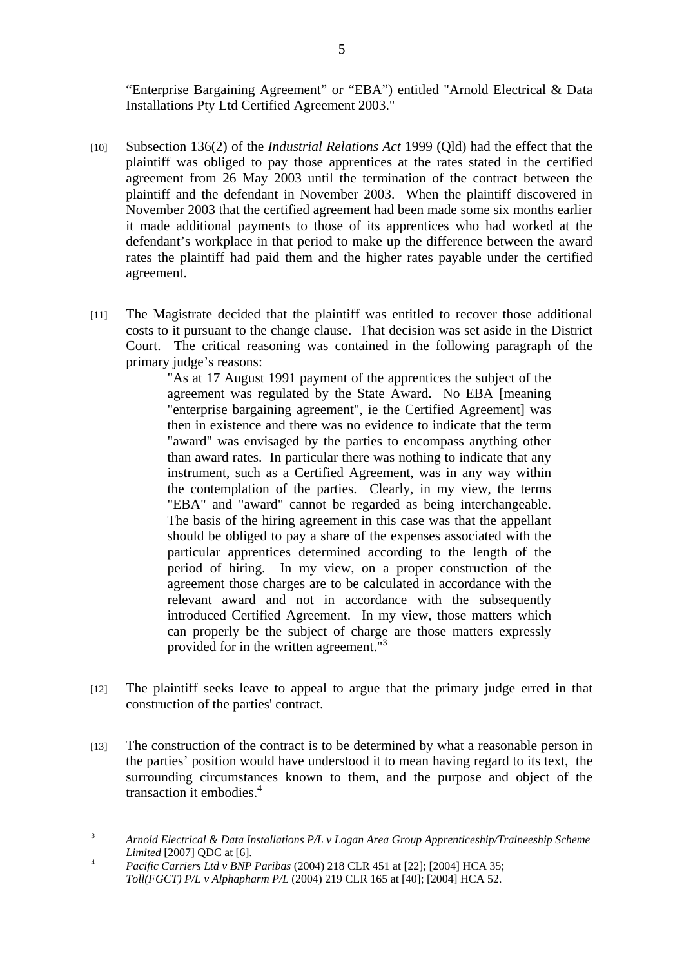"Enterprise Bargaining Agreement" or "EBA") entitled "Arnold Electrical & Data Installations Pty Ltd Certified Agreement 2003."

- [10] Subsection 136(2) of the *Industrial Relations Act* 1999 (Qld) had the effect that the plaintiff was obliged to pay those apprentices at the rates stated in the certified agreement from 26 May 2003 until the termination of the contract between the plaintiff and the defendant in November 2003. When the plaintiff discovered in November 2003 that the certified agreement had been made some six months earlier it made additional payments to those of its apprentices who had worked at the defendant's workplace in that period to make up the difference between the award rates the plaintiff had paid them and the higher rates payable under the certified agreement.
- [11] The Magistrate decided that the plaintiff was entitled to recover those additional costs to it pursuant to the change clause. That decision was set aside in the District Court. The critical reasoning was contained in the following paragraph of the primary judge's reasons:

"As at 17 August 1991 payment of the apprentices the subject of the agreement was regulated by the State Award. No EBA [meaning "enterprise bargaining agreement", ie the Certified Agreement] was then in existence and there was no evidence to indicate that the term "award" was envisaged by the parties to encompass anything other than award rates. In particular there was nothing to indicate that any instrument, such as a Certified Agreement, was in any way within the contemplation of the parties. Clearly, in my view, the terms "EBA" and "award" cannot be regarded as being interchangeable. The basis of the hiring agreement in this case was that the appellant should be obliged to pay a share of the expenses associated with the particular apprentices determined according to the length of the period of hiring. In my view, on a proper construction of the agreement those charges are to be calculated in accordance with the relevant award and not in accordance with the subsequently introduced Certified Agreement. In my view, those matters which can properly be the subject of charge are those matters expressly provided for in the written agreement."3

- [12] The plaintiff seeks leave to appeal to argue that the primary judge erred in that construction of the parties' contract.
- [13] The construction of the contract is to be determined by what a reasonable person in the parties' position would have understood it to mean having regard to its text, the surrounding circumstances known to them, and the purpose and object of the transaction it embodies.<sup>4</sup>

 3 *Arnold Electrical & Data Installations P/L v Logan Area Group Apprenticeship/Traineeship Scheme Limited* [2007] QDC at [6].

*Pacific Carriers Ltd v BNP Paribas* (2004) 218 CLR 451 at [22]; [2004] HCA 35; *Toll(FGCT) P/L v Alphapharm P/L* (2004) 219 CLR 165 at [40]; [2004] HCA 52.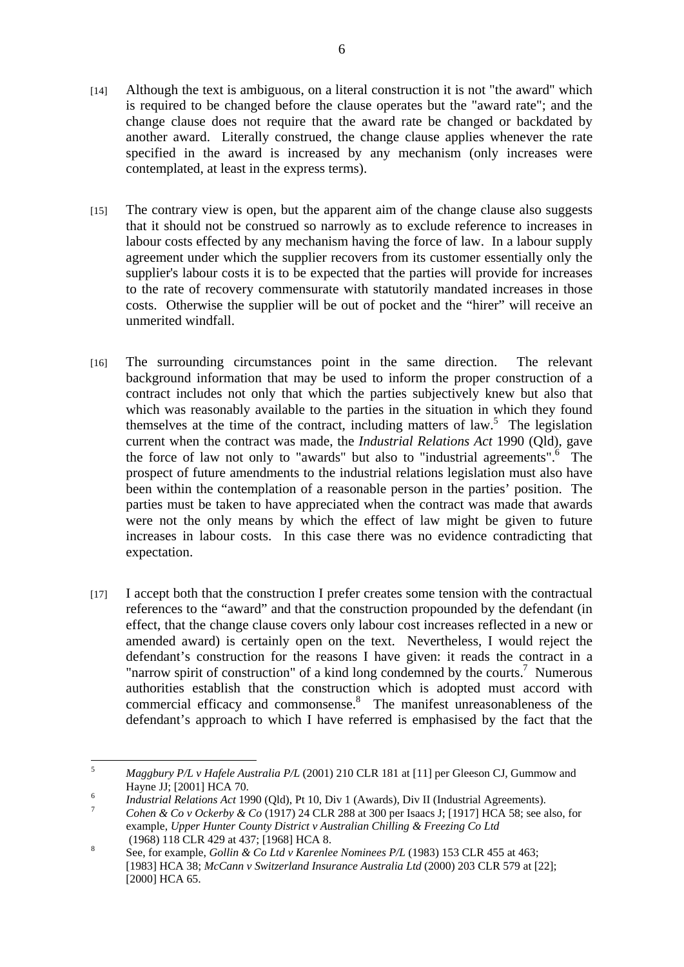- [14] Although the text is ambiguous, on a literal construction it is not "the award" which is required to be changed before the clause operates but the "award rate"; and the change clause does not require that the award rate be changed or backdated by another award. Literally construed, the change clause applies whenever the rate specified in the award is increased by any mechanism (only increases were contemplated, at least in the express terms).
- [15] The contrary view is open, but the apparent aim of the change clause also suggests that it should not be construed so narrowly as to exclude reference to increases in labour costs effected by any mechanism having the force of law. In a labour supply agreement under which the supplier recovers from its customer essentially only the supplier's labour costs it is to be expected that the parties will provide for increases to the rate of recovery commensurate with statutorily mandated increases in those costs. Otherwise the supplier will be out of pocket and the "hirer" will receive an unmerited windfall.
- [16] The surrounding circumstances point in the same direction. The relevant background information that may be used to inform the proper construction of a contract includes not only that which the parties subjectively knew but also that which was reasonably available to the parties in the situation in which they found themselves at the time of the contract, including matters of  $law$ .<sup>5</sup> The legislation current when the contract was made, the *Industrial Relations Act* 1990 (Qld), gave the force of law not only to "awards" but also to "industrial agreements". The prospect of future amendments to the industrial relations legislation must also have been within the contemplation of a reasonable person in the parties' position. The parties must be taken to have appreciated when the contract was made that awards were not the only means by which the effect of law might be given to future increases in labour costs. In this case there was no evidence contradicting that expectation.
- [17] I accept both that the construction I prefer creates some tension with the contractual references to the "award" and that the construction propounded by the defendant (in effect, that the change clause covers only labour cost increases reflected in a new or amended award) is certainly open on the text. Nevertheless, I would reject the defendant's construction for the reasons I have given: it reads the contract in a "narrow spirit of construction" of a kind long condemned by the courts.<sup>7</sup> Numerous authorities establish that the construction which is adopted must accord with commercial efficacy and commonsense.<sup>8</sup> The manifest unreasonableness of the defendant's approach to which I have referred is emphasised by the fact that the

 $\frac{1}{5}$  *Maggbury P/L v Hafele Australia P/L* (2001) 210 CLR 181 at [11] per Gleeson CJ, Gummow and Hayne JJ; [2001] HCA 70.

<sup>&</sup>lt;sup>6</sup><br>*Industrial Relations Act* 1990 (Qld), Pt 10, Div 1 (Awards), Div II (Industrial Agreements).

*Cohen & Co v Ockerby & Co* (1917) 24 CLR 288 at 300 per Isaacs J; [1917] HCA 58; see also, for example, *Upper Hunter County District v Australian Chilling & Freezing Co Ltd*   $(1968)$  118 CLR 429 at 437; [1968] HCA 8.

See, for example, *Gollin & Co Ltd v Karenlee Nominees P/L* (1983) 153 CLR 455 at 463; [1983] HCA 38; *McCann v Switzerland Insurance Australia Ltd* (2000) 203 CLR 579 at [22]; [2000] HCA 65.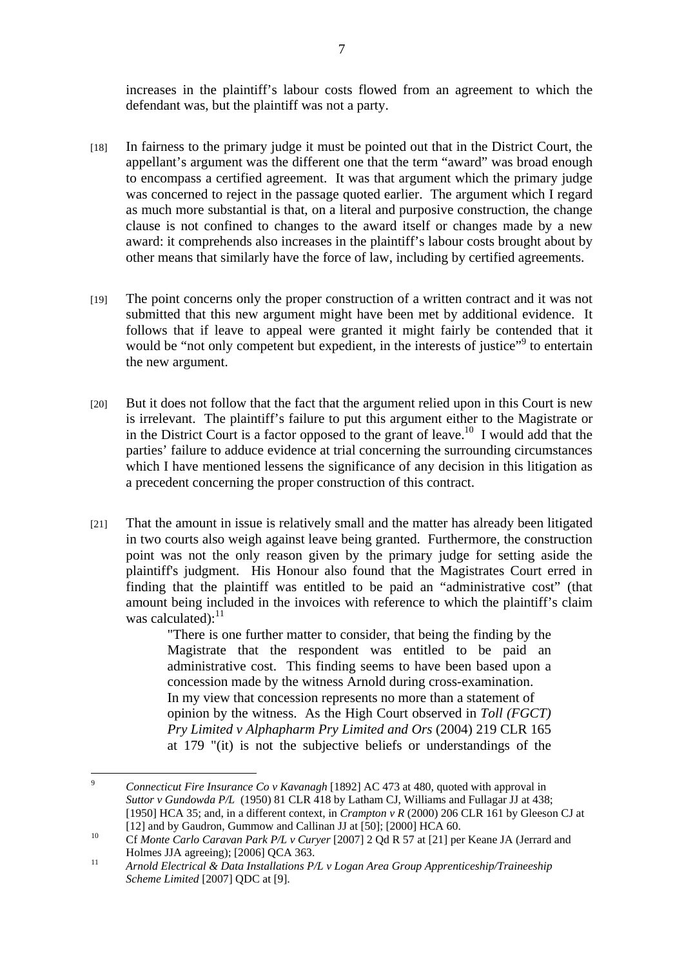increases in the plaintiff's labour costs flowed from an agreement to which the defendant was, but the plaintiff was not a party.

- [18] In fairness to the primary judge it must be pointed out that in the District Court, the appellant's argument was the different one that the term "award" was broad enough to encompass a certified agreement. It was that argument which the primary judge was concerned to reject in the passage quoted earlier. The argument which I regard as much more substantial is that, on a literal and purposive construction, the change clause is not confined to changes to the award itself or changes made by a new award: it comprehends also increases in the plaintiff's labour costs brought about by other means that similarly have the force of law, including by certified agreements.
- [19] The point concerns only the proper construction of a written contract and it was not submitted that this new argument might have been met by additional evidence. It follows that if leave to appeal were granted it might fairly be contended that it would be "not only competent but expedient, in the interests of justice"<sup>9</sup> to entertain the new argument.
- [20] But it does not follow that the fact that the argument relied upon in this Court is new is irrelevant. The plaintiff's failure to put this argument either to the Magistrate or in the District Court is a factor opposed to the grant of leave.<sup>10</sup> I would add that the parties' failure to adduce evidence at trial concerning the surrounding circumstances which I have mentioned lessens the significance of any decision in this litigation as a precedent concerning the proper construction of this contract.
- [21] That the amount in issue is relatively small and the matter has already been litigated in two courts also weigh against leave being granted. Furthermore, the construction point was not the only reason given by the primary judge for setting aside the plaintiff's judgment. His Honour also found that the Magistrates Court erred in finding that the plaintiff was entitled to be paid an "administrative cost" (that amount being included in the invoices with reference to which the plaintiff's claim was calculated):<sup>11</sup>

"There is one further matter to consider, that being the finding by the Magistrate that the respondent was entitled to be paid an administrative cost. This finding seems to have been based upon a concession made by the witness Arnold during cross-examination. In my view that concession represents no more than a statement of opinion by the witness. As the High Court observed in *Toll (FGCT) Pry Limited v Alphapharm Pry Limited and Ors* (2004) 219 CLR 165 at 179 "(it) is not the subjective beliefs or understandings of the

<sup>-&</sup>lt;br>9 *Connecticut Fire Insurance Co v Kavanagh* [1892] AC 473 at 480, quoted with approval in *Suttor v Gundowda P/L* (1950) 81 CLR 418 by Latham CJ, Williams and Fullagar JJ at 438; [1950] HCA 35; and, in a different context, in *Crampton v R* (2000) 206 CLR 161 by Gleeson CJ at

<sup>[12]</sup> and by Gaudron, Gummow and Callinan JJ at [50]; [2000] HCA 60. 10 Cf *Monte Carlo Caravan Park P/L v Curyer* [2007] 2 Qd R 57 at [21] per Keane JA (Jerrard and Holmes JJA agreeing); [2006] QCA 363.

<sup>11</sup> *Arnold Electrical & Data Installations P/L v Logan Area Group Apprenticeship/Traineeship Scheme Limited* [2007] QDC at [9].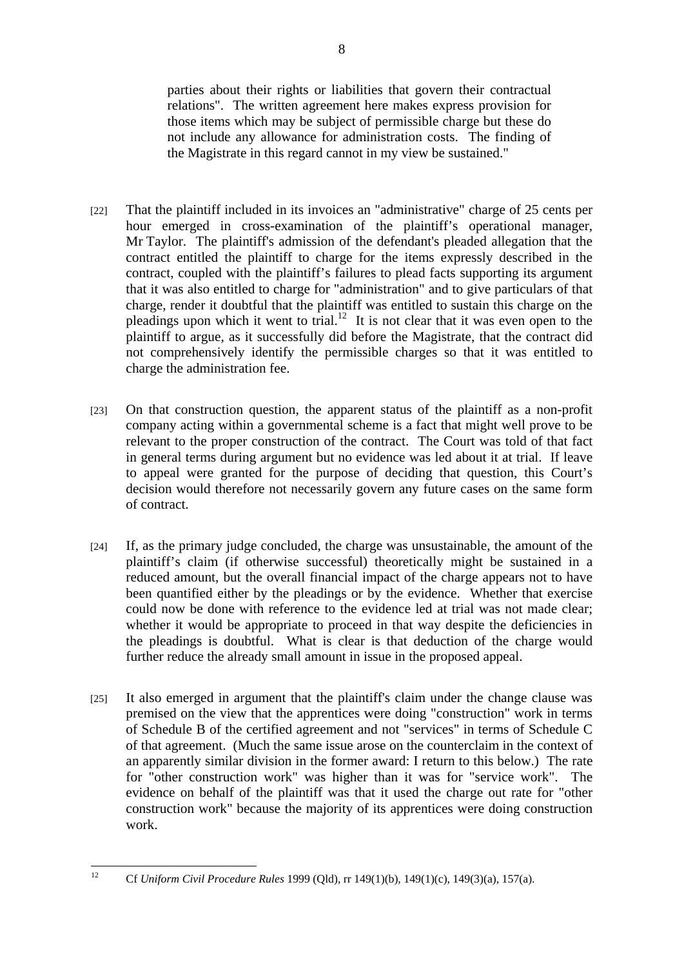parties about their rights or liabilities that govern their contractual relations". The written agreement here makes express provision for those items which may be subject of permissible charge but these do not include any allowance for administration costs. The finding of the Magistrate in this regard cannot in my view be sustained."

- [22] That the plaintiff included in its invoices an "administrative" charge of 25 cents per hour emerged in cross-examination of the plaintiff's operational manager, Mr Taylor. The plaintiff's admission of the defendant's pleaded allegation that the contract entitled the plaintiff to charge for the items expressly described in the contract, coupled with the plaintiff's failures to plead facts supporting its argument that it was also entitled to charge for "administration" and to give particulars of that charge, render it doubtful that the plaintiff was entitled to sustain this charge on the pleadings upon which it went to trial.<sup>12</sup> It is not clear that it was even open to the plaintiff to argue, as it successfully did before the Magistrate, that the contract did not comprehensively identify the permissible charges so that it was entitled to charge the administration fee.
- [23] On that construction question, the apparent status of the plaintiff as a non-profit company acting within a governmental scheme is a fact that might well prove to be relevant to the proper construction of the contract. The Court was told of that fact in general terms during argument but no evidence was led about it at trial. If leave to appeal were granted for the purpose of deciding that question, this Court's decision would therefore not necessarily govern any future cases on the same form of contract.
- [24] If, as the primary judge concluded, the charge was unsustainable, the amount of the plaintiff's claim (if otherwise successful) theoretically might be sustained in a reduced amount, but the overall financial impact of the charge appears not to have been quantified either by the pleadings or by the evidence. Whether that exercise could now be done with reference to the evidence led at trial was not made clear; whether it would be appropriate to proceed in that way despite the deficiencies in the pleadings is doubtful. What is clear is that deduction of the charge would further reduce the already small amount in issue in the proposed appeal.
- [25] It also emerged in argument that the plaintiff's claim under the change clause was premised on the view that the apprentices were doing "construction" work in terms of Schedule B of the certified agreement and not "services" in terms of Schedule C of that agreement. (Much the same issue arose on the counterclaim in the context of an apparently similar division in the former award: I return to this below.) The rate for "other construction work" was higher than it was for "service work". The evidence on behalf of the plaintiff was that it used the charge out rate for "other construction work" because the majority of its apprentices were doing construction work.

 $12$ 12 Cf *Uniform Civil Procedure Rules* 1999 (Qld), rr 149(1)(b), 149(1)(c), 149(3)(a), 157(a).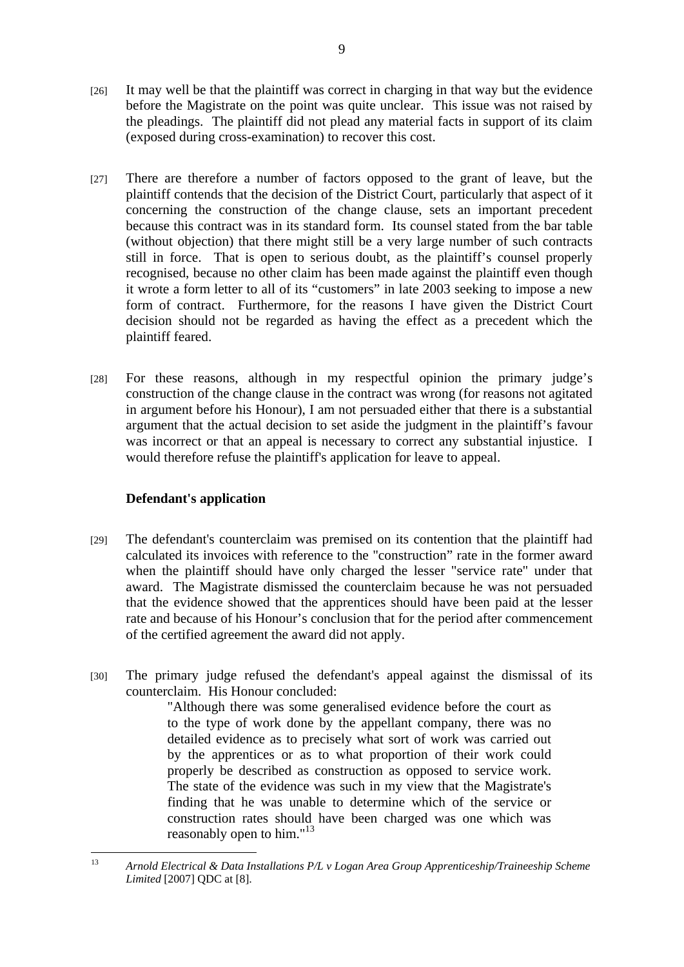- [26] It may well be that the plaintiff was correct in charging in that way but the evidence before the Magistrate on the point was quite unclear. This issue was not raised by the pleadings. The plaintiff did not plead any material facts in support of its claim (exposed during cross-examination) to recover this cost.
- [27] There are therefore a number of factors opposed to the grant of leave, but the plaintiff contends that the decision of the District Court, particularly that aspect of it concerning the construction of the change clause, sets an important precedent because this contract was in its standard form. Its counsel stated from the bar table (without objection) that there might still be a very large number of such contracts still in force. That is open to serious doubt, as the plaintiff's counsel properly recognised, because no other claim has been made against the plaintiff even though it wrote a form letter to all of its "customers" in late 2003 seeking to impose a new form of contract. Furthermore, for the reasons I have given the District Court decision should not be regarded as having the effect as a precedent which the plaintiff feared.
- [28] For these reasons, although in my respectful opinion the primary judge's construction of the change clause in the contract was wrong (for reasons not agitated in argument before his Honour), I am not persuaded either that there is a substantial argument that the actual decision to set aside the judgment in the plaintiff's favour was incorrect or that an appeal is necessary to correct any substantial injustice. I would therefore refuse the plaintiff's application for leave to appeal.

## **Defendant's application**

- [29] The defendant's counterclaim was premised on its contention that the plaintiff had calculated its invoices with reference to the "construction" rate in the former award when the plaintiff should have only charged the lesser "service rate" under that award. The Magistrate dismissed the counterclaim because he was not persuaded that the evidence showed that the apprentices should have been paid at the lesser rate and because of his Honour's conclusion that for the period after commencement of the certified agreement the award did not apply.
- [30] The primary judge refused the defendant's appeal against the dismissal of its counterclaim. His Honour concluded:

"Although there was some generalised evidence before the court as to the type of work done by the appellant company, there was no detailed evidence as to precisely what sort of work was carried out by the apprentices or as to what proportion of their work could properly be described as construction as opposed to service work. The state of the evidence was such in my view that the Magistrate's finding that he was unable to determine which of the service or construction rates should have been charged was one which was reasonably open to him."<sup>13</sup>

 $13$ 13 *Arnold Electrical & Data Installations P/L v Logan Area Group Apprenticeship/Traineeship Scheme Limited* [2007] QDC at [8].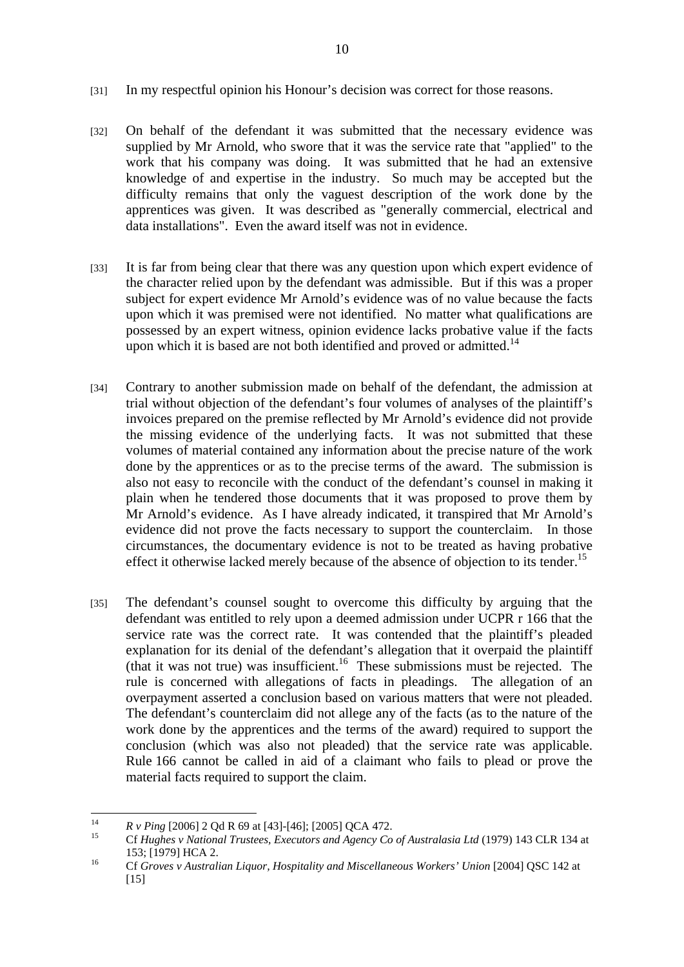- [31] In my respectful opinion his Honour's decision was correct for those reasons.
- [32] On behalf of the defendant it was submitted that the necessary evidence was supplied by Mr Arnold, who swore that it was the service rate that "applied" to the work that his company was doing. It was submitted that he had an extensive knowledge of and expertise in the industry. So much may be accepted but the difficulty remains that only the vaguest description of the work done by the apprentices was given. It was described as "generally commercial, electrical and data installations". Even the award itself was not in evidence.
- [33] It is far from being clear that there was any question upon which expert evidence of the character relied upon by the defendant was admissible. But if this was a proper subject for expert evidence Mr Arnold's evidence was of no value because the facts upon which it was premised were not identified. No matter what qualifications are possessed by an expert witness, opinion evidence lacks probative value if the facts upon which it is based are not both identified and proved or admitted.<sup>14</sup>
- [34] Contrary to another submission made on behalf of the defendant, the admission at trial without objection of the defendant's four volumes of analyses of the plaintiff's invoices prepared on the premise reflected by Mr Arnold's evidence did not provide the missing evidence of the underlying facts. It was not submitted that these volumes of material contained any information about the precise nature of the work done by the apprentices or as to the precise terms of the award. The submission is also not easy to reconcile with the conduct of the defendant's counsel in making it plain when he tendered those documents that it was proposed to prove them by Mr Arnold's evidence. As I have already indicated, it transpired that Mr Arnold's evidence did not prove the facts necessary to support the counterclaim. In those circumstances, the documentary evidence is not to be treated as having probative effect it otherwise lacked merely because of the absence of objection to its tender.<sup>15</sup>
- [35] The defendant's counsel sought to overcome this difficulty by arguing that the defendant was entitled to rely upon a deemed admission under UCPR r 166 that the service rate was the correct rate. It was contended that the plaintiff's pleaded explanation for its denial of the defendant's allegation that it overpaid the plaintiff (that it was not true) was insufficient.<sup>16</sup> These submissions must be rejected. The rule is concerned with allegations of facts in pleadings. The allegation of an overpayment asserted a conclusion based on various matters that were not pleaded. The defendant's counterclaim did not allege any of the facts (as to the nature of the work done by the apprentices and the terms of the award) required to support the conclusion (which was also not pleaded) that the service rate was applicable. Rule 166 cannot be called in aid of a claimant who fails to plead or prove the material facts required to support the claim.

 $14$ 

<sup>14</sup>*R v Ping* [2006] 2 Qd R 69 at [43]-[46]; [2005] QCA 472. 15 Cf *Hughes v National Trustees, Executors and Agency Co of Australasia Ltd* (1979) 143 CLR 134 at 153; [1979] HCA 2. 16 Cf *Groves v Australian Liquor, Hospitality and Miscellaneous Workers' Union* [2004] QSC 142 at

 $[15]$